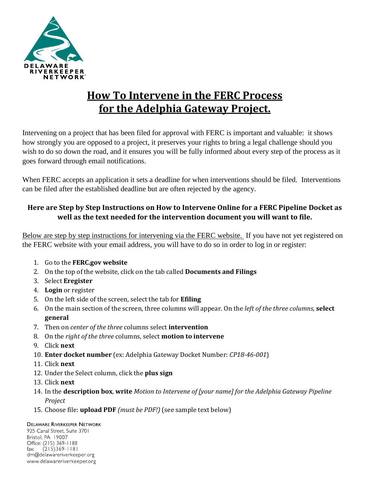

# **How To Intervene in the FERC Process for the Adelphia Gateway Project.**

Intervening on a project that has been filed for approval with FERC is important and valuable: it shows how strongly you are opposed to a project, it preserves your rights to bring a legal challenge should you wish to do so down the road, and it ensures you will be fully informed about every step of the process as it goes forward through email notifications.

When FERC accepts an application it sets a deadline for when interventions should be filed. Interventions can be filed after the established deadline but are often rejected by the agency.

# **Here are Step by Step Instructions on How to Intervene Online for a FERC Pipeline Docket as well as the text needed for the intervention document you will want to file.**

Below are step by step instructions for intervening via the FERC website. If you have not yet registered on the FERC website with your email address, you will have to do so in order to log in or register:

- 1. Go to the **FERC.gov website**
- 2. On the top of the website, click on the tab called **Documents and Filings**
- 3. Select **Eregister**
- 4. **Login** or register
- 5. On the left side of the screen, select the tab for **Efiling**
- 6. On the main section of the screen, three columns will appear. On the *left of the three columns*, **select general**
- 7. Then on *center of the three* columns select **intervention**
- 8. On the *right of the three* columns, select **motion to intervene**
- 9. Click **next**
- 10. **Enter docket number** (ex: Adelphia Gateway Docket Number: *CP18-46-001*)
- 11. Click **next**
- 12. Under the Select column, click the **plus sign**
- 13. Click **next**
- 14. In the **description box**, **write** *Motion to Intervene of [your name] for the Adelphia Gateway Pipeline Project*
- 15. Choose file: **upload PDF** *(must be PDF!)* (see sample text below)

## **DELAWARE RIVERKEEPER NETWORK**

925 Canal Street, Suite 3701 Bristol, PA 19007 Office: (215) 369-1188  $(215)369 - 1181$ fax: drn@delawareriverkeeper.org www.delawareriverkeeper.org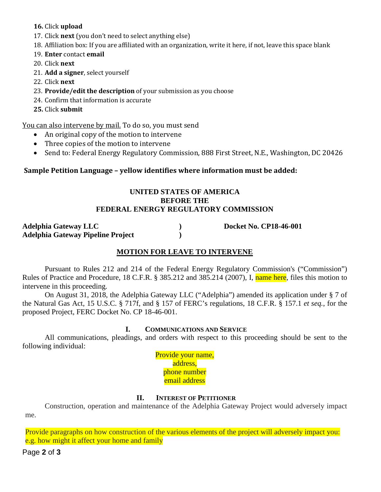## **16.** Click **upload**

- 17. Click **next** (you don't need to select anything else)
- 18. Affiliation box: If you are affiliated with an organization, write it here, if not, leave this space blank

19. **Enter** contact **email**

- 20. Click **next**
- 21. **Add a signer**, select yourself
- 22. Click **next**
- 23. **Provide/edit the description** of your submission as you choose
- 24. Confirm that information is accurate
- **25.** Click **submit**

You can also intervene by mail. To do so, you must send

- An original copy of the motion to intervene
- Three copies of the motion to intervene
- Send to: Federal Energy Regulatory Commission, 888 First Street, N.E., Washington, DC 20426

## **Sample Petition Language – yellow identifies where information must be added:**

#### **UNITED STATES OF AMERICA BEFORE THE FEDERAL ENERGY REGULATORY COMMISSION**

**Adelphia Gateway LLC ) Docket No. CP18-46-001 Adelphia Gateway Pipeline Project )**

# **MOTION FOR LEAVE TO INTERVENE**

Pursuant to Rules 212 and 214 of the Federal Energy Regulatory Commission's ("Commission") Rules of Practice and Procedure, 18 C.F.R. § 385.212 and 385.214 (2007), I, name here, files this motion to intervene in this proceeding.

On August 31, 2018, the Adelphia Gateway LLC ("Adelphia") amended its application under § 7 of the Natural Gas Act, 15 U.S.C. § 717f, and § 157 of FERC's regulations, 18 C.F.R. § 157.1 *et seq.*, for the proposed Project, FERC Docket No. CP 18-46-001.

## **I. COMMUNICATIONS AND SERVICE**

All communications, pleadings, and orders with respect to this proceeding should be sent to the following individual:

> Provide your name, address, phone number email address

# **II. INTEREST OF PETITIONER**

Construction, operation and maintenance of the Adelphia Gateway Project would adversely impact me.

Provide paragraphs on how construction of the various elements of the project will adversely impact you: e.g. how might it affect your home and family

Page **2** of **3**